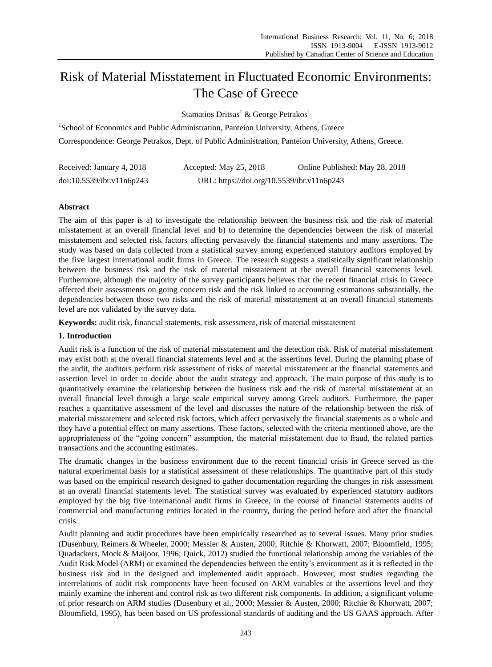# Risk of Material Misstatement in Fluctuated Economic Environments: The Case of Greece

Stamatios Dritsas<sup>1</sup> & George Petrakos<sup>1</sup>

<sup>1</sup>School of Economics and Public Administration, Panteion University, Athens, Greece Correspondence: George Petrakos, Dept. of Public Administration, Panteion University, Athens, Greece.

| Received: January 4, 2018 | Accepted: May $25, 2018$                   | Online Published: May 28, 2018 |
|---------------------------|--------------------------------------------|--------------------------------|
| doi:10.5539/ibr.v11n6p243 | URL: https://doi.org/10.5539/ibr.v11n6p243 |                                |

## **Abstract**

The aim of this paper is a) to investigate the relationship between the business risk and the risk of material misstatement at an overall financial level and b) to determine the dependencies between the risk of material misstatement and selected risk factors affecting pervasively the financial statements and many assertions. The study was based on data collected from a statistical survey among experienced statutory auditors employed by the five largest international audit firms in Greece. The research suggests a statistically significant relationship between the business risk and the risk of material misstatement at the overall financial statements level. Furthermore, although the majority of the survey participants believes that the recent financial crisis in Greece affected their assessments on going concern risk and the risk linked to accounting estimations substantially, the dependencies between those two risks and the risk of material misstatement at an overall financial statements level are not validated by the survey data.

**Keywords:** audit risk, financial statements, risk assessment, risk of material misstatement

# **1. Introduction**

Audit risk is a function of the risk of material misstatement and the detection risk. Risk of material misstatement may exist both at the overall financial statements level and at the assertions level. During the planning phase of the audit, the auditors perform risk assessment of risks of material misstatement at the financial statements and assertion level in order to decide about the audit strategy and approach. The main purpose of this study is to quantitatively examine the relationship between the business risk and the risk of material misstatement at an overall financial level through a large scale empirical survey among Greek auditors. Furthermore, the paper reaches a quantitative assessment of the level and discusses the nature of the relationship between the risk of material misstatement and selected risk factors, which affect pervasively the financial statements as a whole and they have a potential effect on many assertions. These factors, selected with the criteria mentioned above, are the appropriateness of the "going concern" assumption, the material misstatement due to fraud, the related parties transactions and the accounting estimates.

The dramatic changes in the business environment due to the recent financial crisis in Greece served as the natural experimental basis for a statistical assessment of these relationships. The quantitative part of this study was based on the empirical research designed to gather documentation regarding the changes in risk assessment at an overall financial statements level. The statistical survey was evaluated by experienced statutory auditors employed by the big five international audit firms in Greece, in the course of financial statements audits of commercial and manufacturing entities located in the country, during the period before and after the financial crisis.

Audit planning and audit procedures have been empirically researched as to several issues. Many prior studies (Dusenbury, Reimers & Wheeler, 2000; Messier & Austen, 2000; Ritchie & Khorwatt, 2007; Bloomfield, 1995; Quadackers, Mock & Maijoor, 1996; Quick, 2012) studied the functional relationship among the variables of the Audit Risk Model (ARM) or examined the dependencies between the entity's environment as it is reflected in the business risk and in the designed and implemented audit approach. However, most studies regarding the interrelations of audit risk components have been focused on ARM variables at the assertions level and they mainly examine the inherent and control risk as two different risk components. In addition, a significant volume of prior research on ARM studies (Dusenbury et al., 2000; Messier & Austen, 2000; Ritchie & Khorwatt, 2007; Bloomfield, 1995), has been based on US professional standards of auditing and the US GAAS approach. After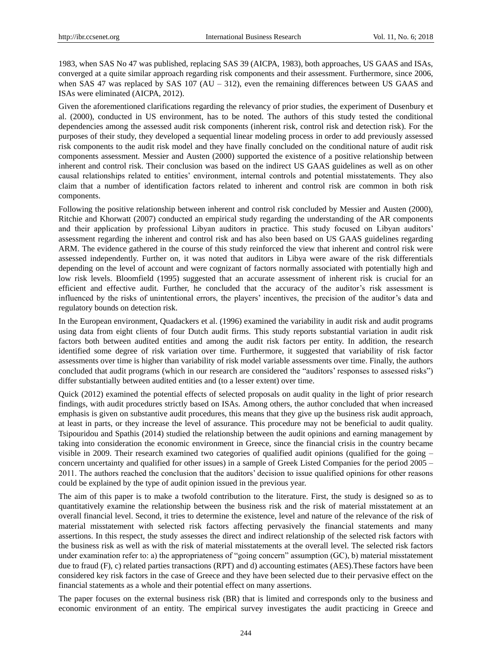1983, when SAS No 47 was published, replacing SAS 39 (AICPA, 1983), both approaches, US GAAS and ISAs, converged at a quite similar approach regarding risk components and their assessment. Furthermore, since 2006, when SAS 47 was replaced by SAS 107 (AU – 312), even the remaining differences between US GAAS and ISAs were eliminated (AICPA, 2012).

Given the aforementioned clarifications regarding the relevancy of prior studies, the experiment of Dusenbury et al. (2000), conducted in US environment, has to be noted. The authors of this study tested the conditional dependencies among the assessed audit risk components (inherent risk, control risk and detection risk). For the purposes of their study, they developed a sequential linear modeling process in order to add previously assessed risk components to the audit risk model and they have finally concluded on the conditional nature of audit risk components assessment. Messier and Austen (2000) supported the existence of a positive relationship between inherent and control risk. Their conclusion was based on the indirect US GAAS guidelines as well as on other causal relationships related to entities' environment, internal controls and potential misstatements. They also claim that a number of identification factors related to inherent and control risk are common in both risk components.

Following the positive relationship between inherent and control risk concluded by Messier and Austen (2000), Ritchie and Khorwatt (2007) conducted an empirical study regarding the understanding of the AR components and their application by professional Libyan auditors in practice. This study focused on Libyan auditors' assessment regarding the inherent and control risk and has also been based on US GAAS guidelines regarding ARM. The evidence gathered in the course of this study reinforced the view that inherent and control risk were assessed independently. Further on, it was noted that auditors in Libya were aware of the risk differentials depending on the level of account and were cognizant of factors normally associated with potentially high and low risk levels. Bloomfield (1995) suggested that an accurate assessment of inherent risk is crucial for an efficient and effective audit. Further, he concluded that the accuracy of the auditor's risk assessment is influenced by the risks of unintentional errors, the players' incentives, the precision of the auditor's data and regulatory bounds on detection risk.

In the European environment, Quadackers et al. (1996) examined the variability in audit risk and audit programs using data from eight clients of four Dutch audit firms. This study reports substantial variation in audit risk factors both between audited entities and among the audit risk factors per entity. In addition, the research identified some degree of risk variation over time. Furthermore, it suggested that variability of risk factor assessments over time is higher than variability of risk model variable assessments over time. Finally, the authors concluded that audit programs (which in our research are considered the "auditors' responses to assessed risks") differ substantially between audited entities and (to a lesser extent) over time.

Quick (2012) examined the potential effects of selected proposals on audit quality in the light of prior research findings, with audit procedures strictly based on ISAs. Among others, the author concluded that when increased emphasis is given on substantive audit procedures, this means that they give up the business risk audit approach, at least in parts, or they increase the level of assurance. This procedure may not be beneficial to audit quality. Tsipouridou and Spathis (2014) studied the relationship between the audit opinions and earning management by taking into consideration the economic environment in Greece, since the financial crisis in the country became visible in 2009. Their research examined two categories of qualified audit opinions (qualified for the going – concern uncertainty and qualified for other issues) in a sample of Greek Listed Companies for the period 2005 – 2011. The authors reached the conclusion that the auditors' decision to issue qualified opinions for other reasons could be explained by the type of audit opinion issued in the previous year.

The aim of this paper is to make a twofold contribution to the literature. First, the study is designed so as to quantitatively examine the relationship between the business risk and the risk of material misstatement at an overall financial level. Second, it tries to determine the existence, level and nature of the relevance of the risk of material misstatement with selected risk factors affecting pervasively the financial statements and many assertions. In this respect, the study assesses the direct and indirect relationship of the selected risk factors with the business risk as well as with the risk of material misstatements at the overall level. The selected risk factors under examination refer to: a) the appropriateness of "going concern" assumption (GC), b) material misstatement due to fraud (F), c) related parties transactions (RPT) and d) accounting estimates (AES). These factors have been considered key risk factors in the case of Greece and they have been selected due to their pervasive effect on the financial statements as a whole and their potential effect on many assertions.

The paper focuses on the external business risk (BR) that is limited and corresponds only to the business and economic environment of an entity. The empirical survey investigates the audit practicing in Greece and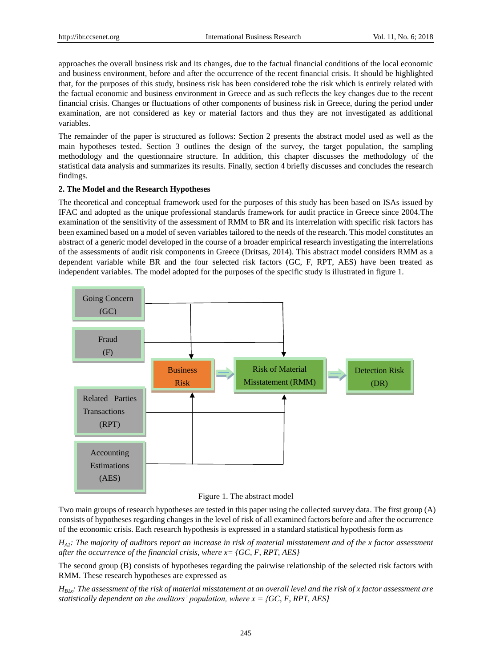approaches the overall business risk and its changes, due to the factual financial conditions of the local economic and business environment, before and after the occurrence of the recent financial crisis. It should be highlighted that, for the purposes of this study, business risk has been considered tobe the risk which is entirely related with the factual economic and business environment in Greece and as such reflects the key changes due to the recent financial crisis. Changes or fluctuations of other components of business risk in Greece, during the period under examination, are not considered as key or material factors and thus they are not investigated as additional variables.

The remainder of the paper is structured as follows: Section 2 presents the abstract model used as well as the main hypotheses tested. Section 3 outlines the design of the survey, the target population, the sampling methodology and the questionnaire structure. In addition, this chapter discusses the methodology of the statistical data analysis and summarizes its results. Finally, section 4 briefly discusses and concludes the research findings.

## **2. The Model and the Research Hypotheses**

The theoretical and conceptual framework used for the purposes of this study has been based on ISAs issued by IFAC and adopted as the unique professional standards framework for audit practice in Greece since 2004.The examination of the sensitivity of the assessment of RMM to BR and its interrelation with specific risk factors has been examined based on a model of seven variables tailored to the needs of the research. This model constitutes an abstract of a generic model developed in the course of a broader empirical research investigating the interrelations of the assessments of audit risk components in Greece (Dritsas, 2014). This abstract model considers RMM as a dependent variable while BR and the four selected risk factors (GC, F, RPT, AES) have been treated as independent variables. The model adopted for the purposes of the specific study is illustrated in figure 1.



Figure 1. The abstract model

Two main groups of research hypotheses are tested in this paper using the collected survey data. The first group (A) consists of hypotheses regarding changes in the level of risk of all examined factors before and after the occurrence of the economic crisis. Each research hypothesis is expressed in a standard statistical hypothesis form as

*HA1: The majority of auditors report an increase in risk of material misstatement and of the x factor assessment after the occurrence of the financial crisis, where x= {GC, F, RPT, AES}*

The second group (B) consists of hypotheses regarding the pairwise relationship of the selected risk factors with RMM. These research hypotheses are expressed as

 $H_{B1x}$ *: The assessment of the risk of material misstatement at an overall level and the risk of x factor assessment are statistically dependent on the auditors' population, where x = {GC, F, RPT, AES}*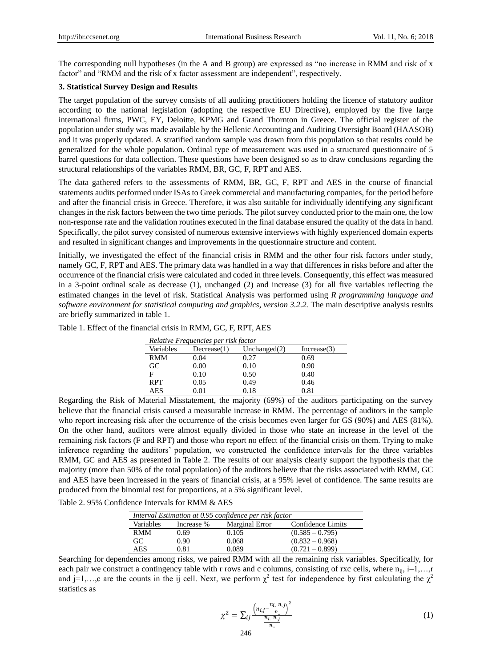The corresponding null hypotheses (in the A and B group) are expressed as "no increase in RMM and risk of x factor" and "RMM and the risk of x factor assessment are independent", respectively.

## **3. Statistical Survey Design and Results**

The target population of the survey consists of all auditing practitioners holding the licence of statutory auditor according to the national legislation (adopting the respective EU Directive), employed by the five large international firms, PWC, EY, Deloitte, KPMG and Grand Thornton in Greece. The official register of the population under study was made available by the Hellenic Accounting and Auditing Oversight Board (HAASOB) and it was properly updated. A stratified random sample was drawn from this population so that results could be generalized for the whole population. Ordinal type of measurement was used in a structured questionnaire of 5 barrel questions for data collection. These questions have been designed so as to draw conclusions regarding the structural relationships of the variables RMM, BR, GC, F, RPT and AES.

The data gathered refers to the assessments of RMM, BR, GC, F, RPT and AES in the course of financial statements audits performed under ISAs to Greek commercial and manufacturing companies, for the period before and after the financial crisis in Greece. Therefore, it was also suitable for individually identifying any significant changes in the risk factors between the two time periods. The pilot survey conducted prior to the main one, the low non-response rate and the validation routines executed in the final database ensured the quality of the data in hand. Specifically, the pilot survey consisted of numerous extensive interviews with highly experienced domain experts and resulted in significant changes and improvements in the questionnaire structure and content.

Initially, we investigated the effect of the financial crisis in RMM and the other four risk factors under study, namely GC, F, RPT and AES. The primary data was handled in a way that differences in risks before and after the occurrence of the financial crisis were calculated and coded in three levels. Consequently, this effect was measured in a 3-point ordinal scale as decrease (1), unchanged (2) and increase (3) for all five variables reflecting the estimated changes in the level of risk. Statistical Analysis was performed using *R programming language and software environment for statistical computing and graphics*, *version 3.2.2.* The main descriptive analysis results are briefly summarized in table 1.

|            | Relative Frequencies per risk factor |                 |             |
|------------|--------------------------------------|-----------------|-------------|
| Variables  | Decrease(1)                          | Unchanged $(2)$ | Increase(3) |
| <b>RMM</b> | 0.04                                 | 0.27            | 0.69        |
| GC         | 0.00                                 | 0.10            | 0.90        |
| F          | 0.10                                 | 0.50            | 0.40        |
| <b>RPT</b> | 0.05                                 | 0.49            | 0.46        |

AES 0.01 0.18 0.81

Table 1. Effect of the financial crisis in RMM, GC, F, RPT, AES

Regarding the Risk of Material Misstatement, the majority (69%) of the auditors participating on the survey believe that the financial crisis caused a measurable increase in RMM. The percentage of auditors in the sample who report increasing risk after the occurrence of the crisis becomes even larger for GS (90%) and AES (81%). On the other hand, auditors were almost equally divided in those who state an increase in the level of the remaining risk factors (F and RPT) and those who report no effect of the financial crisis on them. Trying to make inference regarding the auditors' population, we constructed the confidence intervals for the three variables RMM, GC and AES as presented in Table 2. The results of our analysis clearly support the hypothesis that the majority (more than 50% of the total population) of the auditors believe that the risks associated with RMM, GC and AES have been increased in the years of financial crisis, at a 95% level of confidence. The same results are produced from the binomial test for proportions, at a 5% significant level.

Table 2. 95% Confidence Intervals for RMM & AES

| Interval Estimation at 0.95 confidence per risk factor |            |                |                   |  |
|--------------------------------------------------------|------------|----------------|-------------------|--|
| Variables                                              | Increase % | Marginal Error | Confidence Limits |  |
| <b>RMM</b>                                             | 0.69       | 0.105          | $(0.585 - 0.795)$ |  |
| GC                                                     | 0.90       | 0.068          | $(0.832 - 0.968)$ |  |
| <b>AES</b>                                             | 0.81       | 0.089          | $(0.721 - 0.899)$ |  |

Searching for dependencies among risks, we paired RMM with all the remaining risk variables. Specifically, for each pair we construct a contingency table with r rows and c columns, consisting of rxc cells, where  $n_{ij}$ ,  $i=1,...,r$ and j=1,...,c are the counts in the ij cell. Next, we perform  $\chi^2$  test for independence by first calculating the  $\chi^2$ statistics as

$$
\chi^{2} = \sum_{ij} \frac{\left(n_{i,j} - \frac{n_{i} \ n_{j}}{n_{i}}\right)^{2}}{\frac{n_{i} \ n_{j}}{n_{i}}} \tag{1}
$$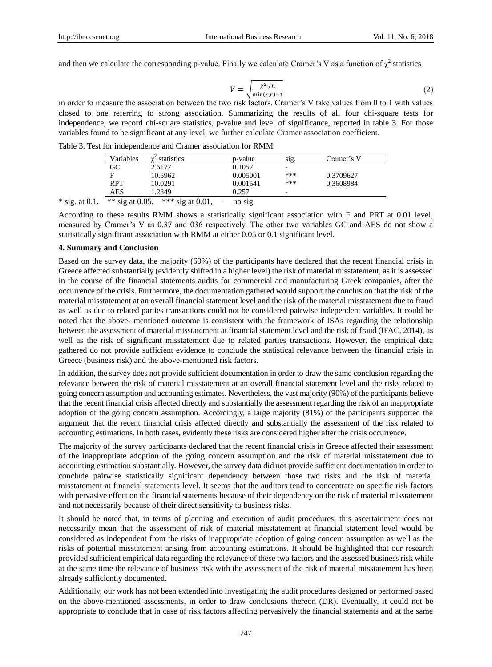and then we calculate the corresponding p-value. Finally we calculate Cramer's V as a function of  $\chi^2$  statistics

$$
V = \sqrt{\frac{\chi^2/n}{\min(c,r)-1}}\tag{2}
$$

in order to measure the association between the two risk factors. Cramer's V take values from 0 to 1 with values closed to one referring to strong association. Summarizing the results of all four chi-square tests for independence, we record chi-square statistics, p-value and level of significance, reported in table 3. For those variables found to be significant at any level, we further calculate Cramer association coefficient.

Table 3. Test for independence and Cramer association for RMM

| Variables                                         | statistics<br>$\sim$   | p-value  | sig.                     | Cramer's V |
|---------------------------------------------------|------------------------|----------|--------------------------|------------|
| GC                                                | 2.6177                 | 0.1057   | $\overline{\phantom{0}}$ |            |
| F                                                 | 10.5962                | 0.005001 | ***                      | 0.3709627  |
| RPT                                               | 10.0291                | 0.001541 | ***                      | 0.3608984  |
| AES                                               | .2849                  | 0.257    | $\overline{\phantom{0}}$ |            |
| $*$ $*$ $\sim$ $\sim$ $\sim$ $\sim$ $\sim$ $\sim$ | $*$ * * * * * * * 0.01 |          |                          |            |

\* sig. at 0.1, \*\* sig at 0.05, \*\*\* sig at 0.01,  $\overline{\phantom{0}}$  no sig

According to these results RMM shows a statistically significant association with F and PRT at 0.01 level, measured by Cramer's V as 0.37 and 036 respectively. The other two variables GC and AES do not show a statistically significant association with RMM at either 0.05 or 0.1 significant level.

#### **4. Summary and Conclusion**

Based on the survey data, the majority (69%) of the participants have declared that the recent financial crisis in Greece affected substantially (evidently shifted in a higher level) the risk of material misstatement, as it is assessed in the course of the financial statements audits for commercial and manufacturing Greek companies, after the occurrence of the crisis. Furthermore, the documentation gathered would support the conclusion that the risk of the material misstatement at an overall financial statement level and the risk of the material misstatement due to fraud as well as due to related parties transactions could not be considered pairwise independent variables. It could be noted that the above- mentioned outcome is consistent with the framework of ISAs regarding the relationship between the assessment of material misstatement at financial statement level and the risk of fraud (IFAC, 2014), as well as the risk of significant misstatement due to related parties transactions. However, the empirical data gathered do not provide sufficient evidence to conclude the statistical relevance between the financial crisis in Greece (business risk) and the above-mentioned risk factors.

In addition, the survey does not provide sufficient documentation in order to draw the same conclusion regarding the relevance between the risk of material misstatement at an overall financial statement level and the risks related to going concern assumption and accounting estimates. Nevertheless, the vast majority (90%) of the participants believe that the recent financial crisis affected directly and substantially the assessment regarding the risk of an inappropriate adoption of the going concern assumption. Accordingly, a large majority (81%) of the participants supported the argument that the recent financial crisis affected directly and substantially the assessment of the risk related to accounting estimations. In both cases, evidently these risks are considered higher after the crisis occurrence.

The majority of the survey participants declared that the recent financial crisis in Greece affected their assessment of the inappropriate adoption of the going concern assumption and the risk of material misstatement due to accounting estimation substantially. However, the survey data did not provide sufficient documentation in order to conclude pairwise statistically significant dependency between those two risks and the risk of material misstatement at financial statements level. It seems that the auditors tend to concentrate on specific risk factors with pervasive effect on the financial statements because of their dependency on the risk of material misstatement and not necessarily because of their direct sensitivity to business risks.

It should be noted that, in terms of planning and execution of audit procedures, this ascertainment does not necessarily mean that the assessment of risk of material misstatement at financial statement level would be considered as independent from the risks of inappropriate adoption of going concern assumption as well as the risks of potential misstatement arising from accounting estimations. It should be highlighted that our research provided sufficient empirical data regarding the relevance of these two factors and the assessed business risk while at the same time the relevance of business risk with the assessment of the risk of material misstatement has been already sufficiently documented.

Additionally, our work has not been extended into investigating the audit procedures designed or performed based on the above-mentioned assessments, in order to draw conclusions thereon (DR). Eventually, it could not be appropriate to conclude that in case of risk factors affecting pervasively the financial statements and at the same